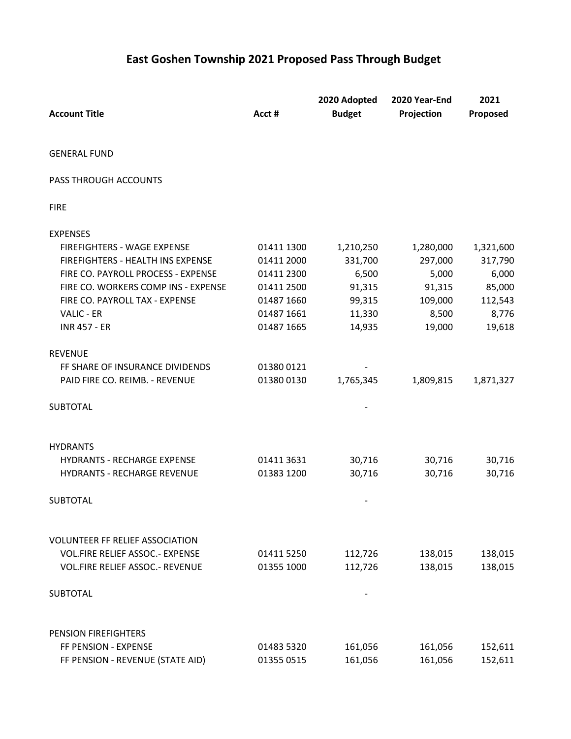## **East Goshen Township 2021 Proposed Pass Through Budget**

| <b>Account Title</b>                   | Acct #     | 2020 Adopted<br><b>Budget</b> | 2020 Year-End<br>Projection | 2021<br>Proposed |
|----------------------------------------|------------|-------------------------------|-----------------------------|------------------|
| <b>GENERAL FUND</b>                    |            |                               |                             |                  |
| PASS THROUGH ACCOUNTS                  |            |                               |                             |                  |
| <b>FIRE</b>                            |            |                               |                             |                  |
| <b>EXPENSES</b>                        |            |                               |                             |                  |
| FIREFIGHTERS - WAGE EXPENSE            | 01411 1300 | 1,210,250                     | 1,280,000                   | 1,321,600        |
| FIREFIGHTERS - HEALTH INS EXPENSE      | 01411 2000 | 331,700                       | 297,000                     | 317,790          |
| FIRE CO. PAYROLL PROCESS - EXPENSE     | 01411 2300 | 6,500                         | 5,000                       | 6,000            |
| FIRE CO. WORKERS COMP INS - EXPENSE    | 01411 2500 | 91,315                        | 91,315                      | 85,000           |
| FIRE CO. PAYROLL TAX - EXPENSE         | 01487 1660 | 99,315                        | 109,000                     | 112,543          |
| VALIC - ER                             | 01487 1661 | 11,330                        | 8,500                       | 8,776            |
| <b>INR 457 - ER</b>                    | 01487 1665 | 14,935                        | 19,000                      | 19,618           |
| <b>REVENUE</b>                         |            |                               |                             |                  |
| FF SHARE OF INSURANCE DIVIDENDS        | 01380 0121 |                               |                             |                  |
| PAID FIRE CO. REIMB. - REVENUE         | 01380 0130 | 1,765,345                     | 1,809,815                   | 1,871,327        |
| <b>SUBTOTAL</b>                        |            |                               |                             |                  |
| <b>HYDRANTS</b>                        |            |                               |                             |                  |
| <b>HYDRANTS - RECHARGE EXPENSE</b>     | 01411 3631 | 30,716                        | 30,716                      | 30,716           |
| <b>HYDRANTS - RECHARGE REVENUE</b>     | 01383 1200 | 30,716                        | 30,716                      | 30,716           |
| <b>SUBTOTAL</b>                        |            |                               |                             |                  |
| <b>VOLUNTEER FF RELIEF ASSOCIATION</b> |            |                               |                             |                  |
| VOL.FIRE RELIEF ASSOC .- EXPENSE       | 01411 5250 | 112,726                       | 138,015                     | 138,015          |
| VOL.FIRE RELIEF ASSOC .- REVENUE       | 01355 1000 | 112,726                       | 138,015                     | 138,015          |
| <b>SUBTOTAL</b>                        |            |                               |                             |                  |
| PENSION FIREFIGHTERS                   |            |                               |                             |                  |
| FF PENSION - EXPENSE                   | 01483 5320 | 161,056                       | 161,056                     | 152,611          |
| FF PENSION - REVENUE (STATE AID)       | 01355 0515 | 161,056                       | 161,056                     | 152,611          |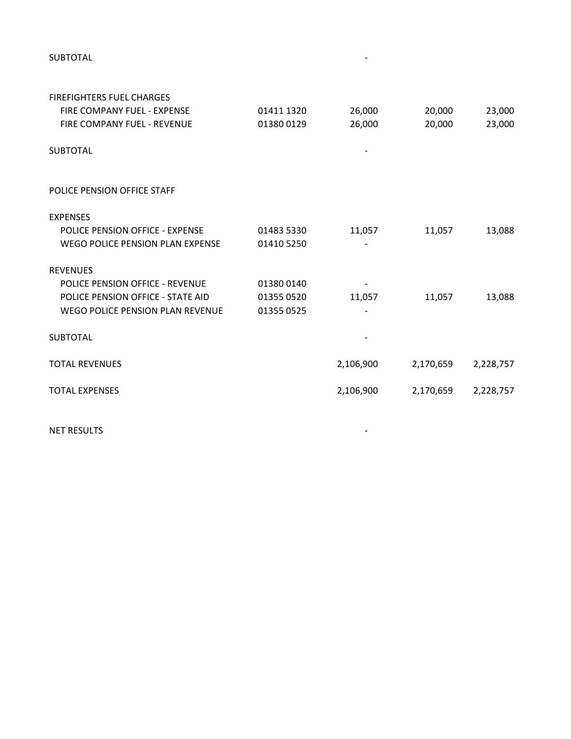SUBTOTAL And the state of the state of the state of the state of the state of the state of the state of the state of the state of the state of the state of the state of the state of the state of the state of the state of t

| <b>FIREFIGHTERS FUEL CHARGES</b>  |            |           |           |           |
|-----------------------------------|------------|-----------|-----------|-----------|
| FIRE COMPANY FUEL - EXPENSE       | 01411 1320 | 26,000    | 20,000    | 23,000    |
| FIRE COMPANY FUEL - REVENUE       | 01380 0129 | 26,000    | 20,000    | 23,000    |
| <b>SUBTOTAL</b>                   |            |           |           |           |
| POLICE PENSION OFFICE STAFF       |            |           |           |           |
| <b>EXPENSES</b>                   |            |           |           |           |
| POLICE PENSION OFFICE - EXPENSE   | 01483 5330 | 11,057    | 11,057    | 13,088    |
| WEGO POLICE PENSION PLAN EXPENSE  | 01410 5250 |           |           |           |
| <b>REVENUES</b>                   |            |           |           |           |
| POLICE PENSION OFFICE - REVENUE   | 013800140  |           |           |           |
| POLICE PENSION OFFICE - STATE AID | 01355 0520 | 11,057    | 11,057    | 13,088    |
| WEGO POLICE PENSION PLAN REVENUE  | 01355 0525 |           |           |           |
| <b>SUBTOTAL</b>                   |            |           |           |           |
| <b>TOTAL REVENUES</b>             |            | 2,106,900 | 2,170,659 | 2,228,757 |
| <b>TOTAL EXPENSES</b>             |            | 2,106,900 | 2,170,659 | 2,228,757 |
|                                   |            |           |           |           |

NET RESULTS And the state of the state of the state of the state of the state of the state of the state of the